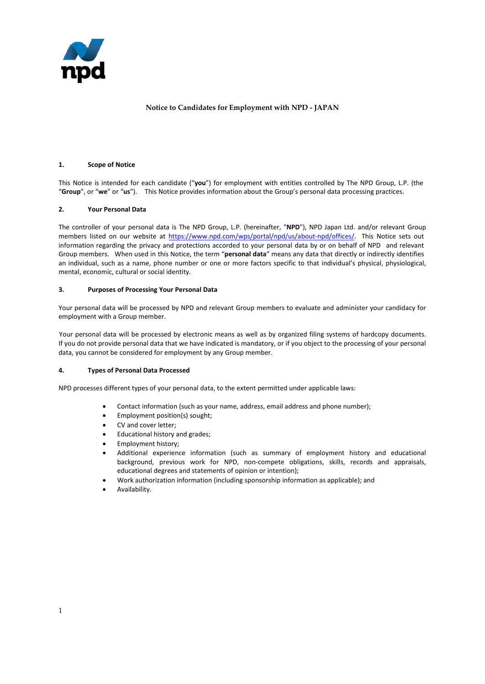

## **Notice to Candidates for Employment with NPD - JAPAN**

#### **1. Scope of Notice**

This Notice is intended for each candidate ("**you**") for employment with entities controlled by The NPD Group, L.P. (the "**Group**", or "**we**" or "**us**"). This Notice provides information about the Group's personal data processing practices.

## **2. Your Personal Data**

The controller of your personal data is The NPD Group, L.P. (hereinafter, "**NPD**"), NPD Japan Ltd. and/or relevant Group members listed on our website a[t https://www.npd.com/wps/portal/npd/us/about-npd/offices/.](https://www.npd.com/wps/portal/npd/us/about-npd/offices/) This Notice sets out information regarding the privacy and protections accorded to your personal data by or on behalf of NPD and relevant Group members. When used in this Notice, the term "**personal data**" means any data that directly or indirectly identifies an individual, such as a name, phone number or one or more factors specific to that individual's physical, physiological, mental, economic, cultural or social identity.

#### **3. Purposes of Processing Your Personal Data**

Your personal data will be processed by NPD and relevant Group members to evaluate and administer your candidacy for employment with a Group member.

Your personal data will be processed by electronic means as well as by organized filing systems of hardcopy documents. If you do not provide personal data that we have indicated is mandatory, or if you object to the processing of your personal data, you cannot be considered for employment by any Group member.

## **4. Types of Personal Data Processed**

NPD processes different types of your personal data, to the extent permitted under applicable laws:

- Contact information (such as your name, address, email address and phone number);
- Employment position(s) sought;
- CV and cover letter;
- Educational history and grades;
- Employment history;
- Additional experience information (such as summary of employment history and educational background, previous work for NPD, non-compete obligations, skills, records and appraisals, educational degrees and statements of opinion or intention);
- Work authorization information (including sponsorship information as applicable); and
- Availability.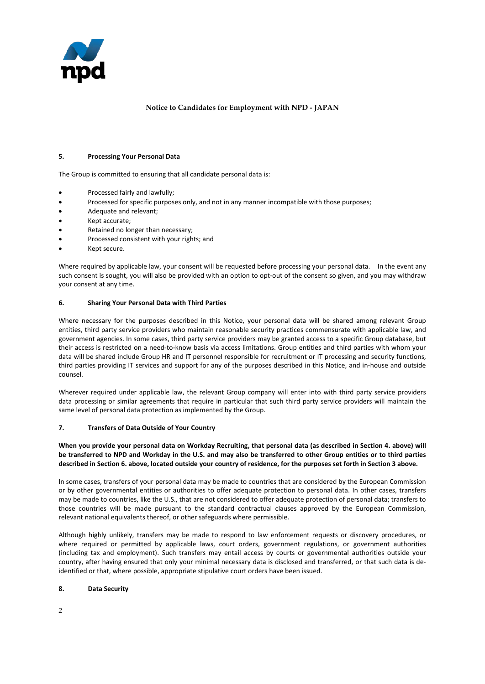

# **Notice to Candidates for Employment with NPD - JAPAN**

#### **5. Processing Your Personal Data**

The Group is committed to ensuring that all candidate personal data is:

- Processed fairly and lawfully;
- Processed for specific purposes only, and not in any manner incompatible with those purposes;
- Adequate and relevant;
- Kept accurate;
- Retained no longer than necessary;
- Processed consistent with your rights; and
- Kept secure.

Where required by applicable law, your consent will be requested before processing your personal data. In the event any such consent is sought, you will also be provided with an option to opt-out of the consent so given, and you may withdraw your consent at any time.

## **6. Sharing Your Personal Data with Third Parties**

Where necessary for the purposes described in this Notice, your personal data will be shared among relevant Group entities, third party service providers who maintain reasonable security practices commensurate with applicable law, and government agencies. In some cases, third party service providers may be granted access to a specific Group database, but their access is restricted on a need-to-know basis via access limitations. Group entities and third parties with whom your data will be shared include Group HR and IT personnel responsible for recruitment or IT processing and security functions, third parties providing IT services and support for any of the purposes described in this Notice, and in-house and outside counsel.

Wherever required under applicable law, the relevant Group company will enter into with third party service providers data processing or similar agreements that require in particular that such third party service providers will maintain the same level of personal data protection as implemented by the Group.

## **7. Transfers of Data Outside of Your Country**

## **When you provide your personal data on Workday Recruiting, that personal data (as described in Section 4. above) will be transferred to NPD and Workday in the U.S. and may also be transferred to other Group entities or to third parties described in Section 6. above, located outside your country of residence, for the purposes set forth in Section 3 above.**

In some cases, transfers of your personal data may be made to countries that are considered by the European Commission or by other governmental entities or authorities to offer adequate protection to personal data. In other cases, transfers may be made to countries, like the U.S., that are not considered to offer adequate protection of personal data; transfers to those countries will be made pursuant to the standard contractual clauses approved by the European Commission, relevant national equivalents thereof, or other safeguards where permissible.

Although highly unlikely, transfers may be made to respond to law enforcement requests or discovery procedures, or where required or permitted by applicable laws, court orders, government regulations, or government authorities (including tax and employment). Such transfers may entail access by courts or governmental authorities outside your country, after having ensured that only your minimal necessary data is disclosed and transferred, or that such data is deidentified or that, where possible, appropriate stipulative court orders have been issued.

## **8. Data Security**